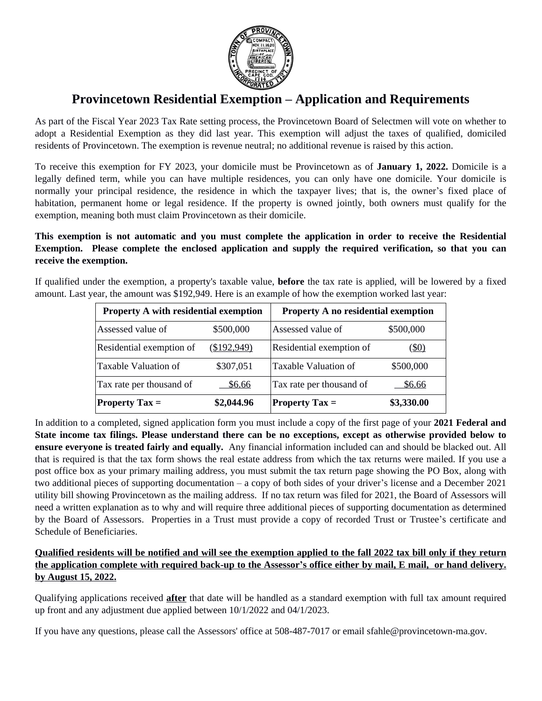

# **Provincetown Residential Exemption – Application and Requirements**

As part of the Fiscal Year 2023 Tax Rate setting process, the Provincetown Board of Selectmen will vote on whether to adopt a Residential Exemption as they did last year. This exemption will adjust the taxes of qualified, domiciled residents of Provincetown. The exemption is revenue neutral; no additional revenue is raised by this action.

To receive this exemption for FY 2023, your domicile must be Provincetown as of **January 1, 2022.** Domicile is a legally defined term, while you can have multiple residences, you can only have one domicile. Your domicile is normally your principal residence, the residence in which the taxpayer lives; that is, the owner's fixed place of habitation, permanent home or legal residence. If the property is owned jointly, both owners must qualify for the exemption, meaning both must claim Provincetown as their domicile.

**This exemption is not automatic and you must complete the application in order to receive the Residential Exemption. Please complete the enclosed application and supply the required verification, so that you can receive the exemption.**

If qualified under the exemption, a property's taxable value, **before** the tax rate is applied, will be lowered by a fixed amount. Last year, the amount was \$192,949. Here is an example of how the exemption worked last year:

| <b>Property A with residential exemption</b> |             | <b>Property A no residential exemption</b> |              |
|----------------------------------------------|-------------|--------------------------------------------|--------------|
| Assessed value of                            | \$500,000   | Assessed value of                          | \$500,000    |
| Residential exemption of                     | (\$192,949) | Residential exemption of                   | <u>(\$0)</u> |
| Taxable Valuation of                         | \$307,051   | Taxable Valuation of                       | \$500,000    |
| Tax rate per thousand of                     | \$6.66      | Tax rate per thousand of                   | \$6.66       |
| <b>Property Tax</b> =                        | \$2,044.96  | <b>Property Tax <math>=</math></b>         | \$3,330.00   |

In addition to a completed, signed application form you must include a copy of the first page of your **2021 Federal and** State income tax filings. Please understand there can be no exceptions, except as otherwise provided below to **ensure everyone is treated fairly and equally.** Any financial information included can and should be blacked out. All that is required is that the tax form shows the real estate address from which the tax returns were mailed. If you use a post office box as your primary mailing address, you must submit the tax return page showing the PO Box, along with two additional pieces of supporting documentation – a copy of both sides of your driver's license and a December 2021 utility bill showing Provincetown as the mailing address. If no tax return was filed for 2021, the Board of Assessors will need a written explanation as to why and will require three additional pieces of supporting documentation as determined by the Board of Assessors. Properties in a Trust must provide a copy of recorded Trust or Trustee's certificate and Schedule of Beneficiaries.

## **Qualified residents will be notified and will see the exemption applied to the fall 2022 tax bill only if they return the application complete with required back-up to the Assessor's office either by mail, E mail, or hand delivery. by August 15, 2022.**

Qualifying applications received **after** that date will be handled as a standard exemption with full tax amount required up front and any adjustment due applied between 10/1/2022 and 04/1/2023.

If you have any questions, please call the Assessors' office at 508-487-7017 or email sfahle@provincetown-ma.gov.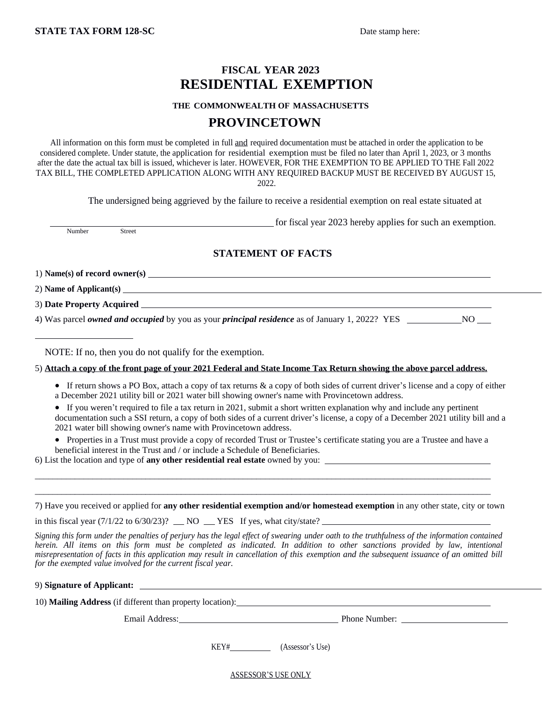## **FISCAL YEAR 2023 RESIDENTIAL EXEMPTION**

#### **THE COMMONWEALTH OF MASSACHUSETTS**

## **PROVINCETOWN**

All information on this form must be completed in full and required documentation must be attached in order the application to be considered complete. Under statute, the application for residential exemption must be filed no later than April 1, 2023, or 3 months after the date the actual tax bill is issued, whichever is later. HOWEVER, FOR THE EXEMPTION TO BE APPLIED TO THE Fall 2022 TAX BILL, THE COMPLETED APPLICATION ALONG WITH ANY REQUIRED BACKUP MUST BE RECEIVED BY AUGUST 15, 2022.

The undersigned being aggrieved by the failure to receive a residential exemption on real estate situated at

 for fiscal year 2023 hereby applies for such an exemption. Number

### **STATEMENT OF FACTS**

1) **Name(s) of record owner(s)** 2) **Name of Applicant(s)**

 $\overline{a}$ 

3) **Date Property Acquired** 

4) Was parcel *owned and occupied* by you as your *principal residence* as of January 1, 2022? YES NO NO

NOTE: If no, then you do not qualify for the exemption.

5) **Attach a copy of the front page of your 2021 Federal and State Income Tax Return showing the above parcel address.**

- If return shows a PO Box, attach a copy of tax returns & a copy of both sides of current driver's license and a copy of either a December 2021 utility bill or 2021 water bill showing owner's name with Provincetown address.
- If you weren't required to file a tax return in 2021, submit a short written explanation why and include any pertinent

documentation such a SSI return, a copy of both sides of a current driver's license, a copy of a December 2021 utility bill and a 2021 water bill showing owner's name with Provincetown address.

 Properties in a Trust must provide a copy of recorded Trust or Trustee's certificate stating you are a Trustee and have a beneficial interest in the Trust and / or include a Schedule of Beneficiaries.

\_\_\_\_\_\_\_\_\_\_\_\_\_\_\_\_\_\_\_\_\_\_\_\_\_\_\_\_\_\_\_\_\_\_\_\_\_\_\_\_\_\_\_\_\_\_\_\_\_\_\_\_\_\_\_\_\_\_\_\_\_\_\_\_\_\_\_\_\_\_\_\_\_\_\_\_\_\_\_\_\_\_\_\_\_\_\_\_\_\_\_\_\_\_\_\_\_\_\_\_\_\_\_ \_\_\_\_\_\_\_\_\_\_\_\_\_\_\_\_\_\_\_\_\_\_\_\_\_\_\_\_\_\_\_\_\_\_\_\_\_\_\_\_\_\_\_\_\_\_\_\_\_\_\_\_\_\_\_\_\_\_\_\_\_\_\_\_\_\_\_\_\_\_\_\_\_\_\_\_\_\_\_\_\_\_\_\_\_\_\_\_\_\_\_\_\_\_\_\_\_\_\_\_\_\_\_

6) List the location and type of **any other residential real estate** owned by you:

| 7) Have you received or applied for any other residential exemption and/or homestead exemption in any other state, city or town                                                                                                                                                                                                                                                                                                                                                           |
|-------------------------------------------------------------------------------------------------------------------------------------------------------------------------------------------------------------------------------------------------------------------------------------------------------------------------------------------------------------------------------------------------------------------------------------------------------------------------------------------|
| in this fiscal year $(7/1/22 \text{ to } 6/30/23)$ ? NO YES If yes, what city/state?                                                                                                                                                                                                                                                                                                                                                                                                      |
| Signing this form under the penalties of perjury has the legal effect of swearing under oath to the truthfulness of the information contained<br>herein. All items on this form must be completed as indicated. In addition to other sanctions provided by law, intentional<br>misrepresentation of facts in this application may result in cancellation of this exemption and the subsequent issuance of an omitted bill<br>for the exempted value involved for the current fiscal year. |
| 9) Signature of Applicant:                                                                                                                                                                                                                                                                                                                                                                                                                                                                |
| 10) Mailing Address (if different than property location):                                                                                                                                                                                                                                                                                                                                                                                                                                |

Email Address: Phone Number: 2003. Phone Number: 2004. Phone Number: 2004. Phone Number: 2004. Phone Number: 2004. Phone Number: 2004. Phone Number: 2006. Phone Number: 2006. Phone Number: 2006. Phone Number: 2006. Phone N

KEY# (Assessor's Use)

ASSESSOR'S USE ONLY